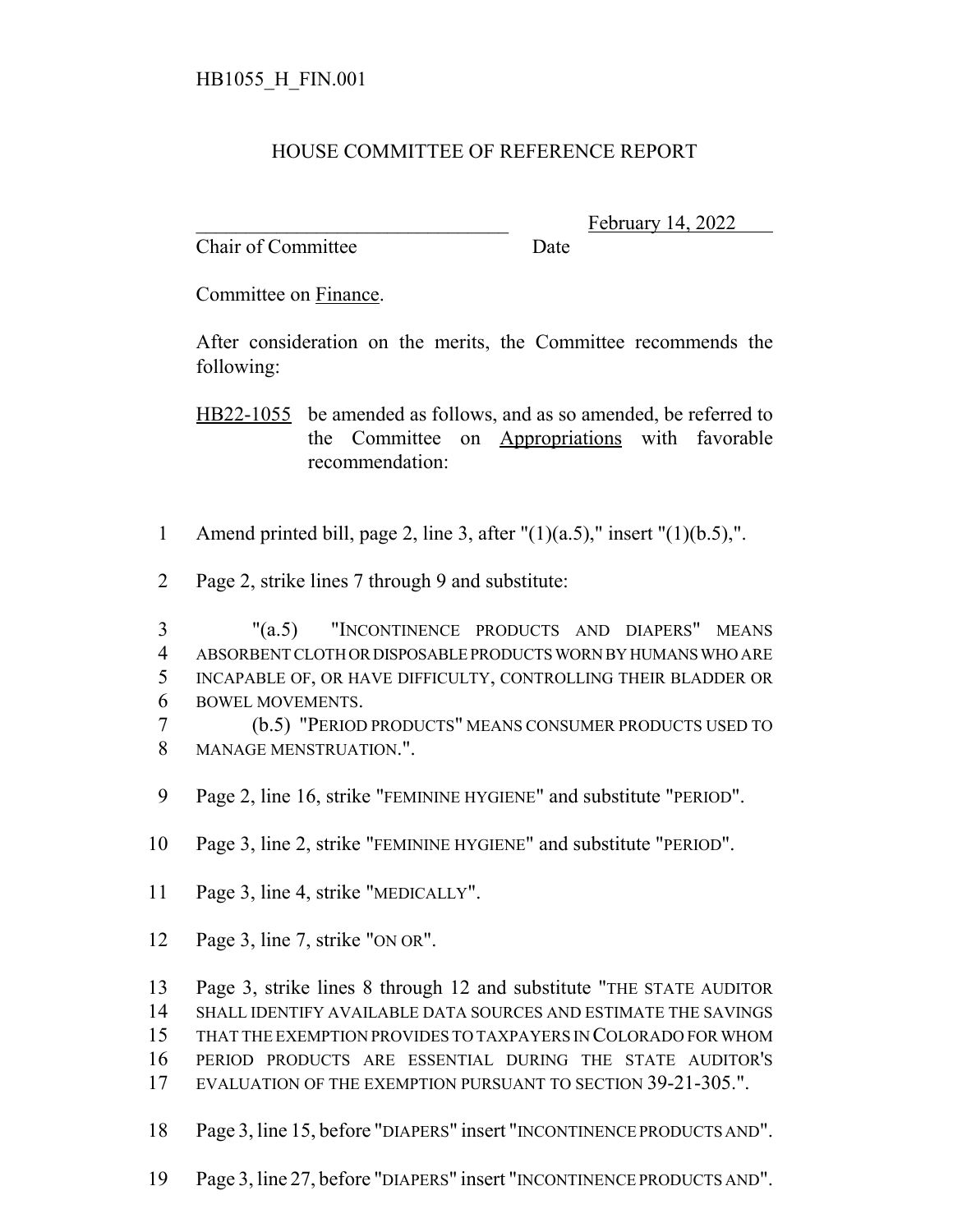## HOUSE COMMITTEE OF REFERENCE REPORT

Chair of Committee Date

February 14, 2022

Committee on Finance.

After consideration on the merits, the Committee recommends the following:

HB22-1055 be amended as follows, and as so amended, be referred to the Committee on Appropriations with favorable recommendation:

- 1 Amend printed bill, page 2, line 3, after  $"(1)(a.5)$ ," insert  $"(1)(b.5)$ ,".
- Page 2, strike lines 7 through 9 and substitute:
- "(a.5) "INCONTINENCE PRODUCTS AND DIAPERS" MEANS ABSORBENT CLOTH OR DISPOSABLE PRODUCTS WORN BY HUMANS WHO ARE INCAPABLE OF, OR HAVE DIFFICULTY, CONTROLLING THEIR BLADDER OR BOWEL MOVEMENTS.
- (b.5) "PERIOD PRODUCTS" MEANS CONSUMER PRODUCTS USED TO MANAGE MENSTRUATION.".
- Page 2, line 16, strike "FEMININE HYGIENE" and substitute "PERIOD".
- Page 3, line 2, strike "FEMININE HYGIENE" and substitute "PERIOD".
- Page 3, line 4, strike "MEDICALLY".
- Page 3, line 7, strike "ON OR".

 Page 3, strike lines 8 through 12 and substitute "THE STATE AUDITOR SHALL IDENTIFY AVAILABLE DATA SOURCES AND ESTIMATE THE SAVINGS

- THAT THE EXEMPTION PROVIDES TO TAXPAYERS IN COLORADO FOR WHOM
- PERIOD PRODUCTS ARE ESSENTIAL DURING THE STATE AUDITOR'S
- EVALUATION OF THE EXEMPTION PURSUANT TO SECTION 39-21-305.".
- Page 3, line 15, before "DIAPERS" insert "INCONTINENCE PRODUCTS AND".
- Page 3, line 27, before "DIAPERS" insert "INCONTINENCE PRODUCTS AND".